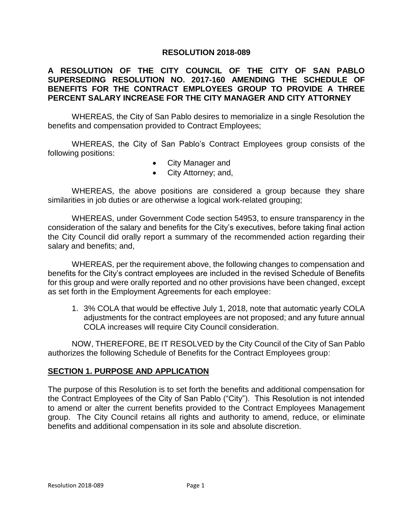### **RESOLUTION 2018-089**

## **A RESOLUTION OF THE CITY COUNCIL OF THE CITY OF SAN PABLO SUPERSEDING RESOLUTION NO. 2017-160 AMENDING THE SCHEDULE OF BENEFITS FOR THE CONTRACT EMPLOYEES GROUP TO PROVIDE A THREE PERCENT SALARY INCREASE FOR THE CITY MANAGER AND CITY ATTORNEY**

WHEREAS, the City of San Pablo desires to memorialize in a single Resolution the benefits and compensation provided to Contract Employees;

WHEREAS, the City of San Pablo's Contract Employees group consists of the following positions:

- City Manager and
- City Attorney; and,

WHEREAS, the above positions are considered a group because they share similarities in job duties or are otherwise a logical work-related grouping;

WHEREAS, under Government Code section 54953, to ensure transparency in the consideration of the salary and benefits for the City's executives, before taking final action the City Council did orally report a summary of the recommended action regarding their salary and benefits; and,

WHEREAS, per the requirement above, the following changes to compensation and benefits for the City's contract employees are included in the revised Schedule of Benefits for this group and were orally reported and no other provisions have been changed, except as set forth in the Employment Agreements for each employee:

1. 3% COLA that would be effective July 1, 2018, note that automatic yearly COLA adjustments for the contract employees are not proposed; and any future annual COLA increases will require City Council consideration.

NOW, THEREFORE, BE IT RESOLVED by the City Council of the City of San Pablo authorizes the following Schedule of Benefits for the Contract Employees group:

#### **SECTION 1. PURPOSE AND APPLICATION**

The purpose of this Resolution is to set forth the benefits and additional compensation for the Contract Employees of the City of San Pablo ("City"). This Resolution is not intended to amend or alter the current benefits provided to the Contract Employees Management group. The City Council retains all rights and authority to amend, reduce, or eliminate benefits and additional compensation in its sole and absolute discretion.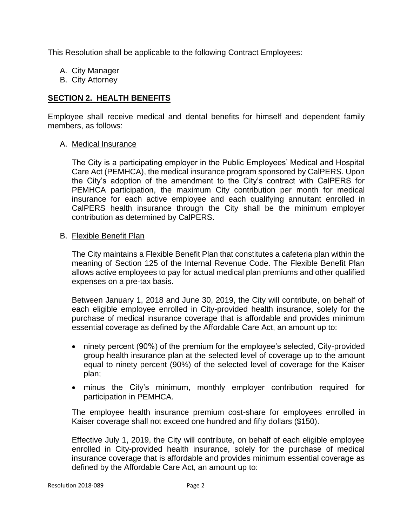This Resolution shall be applicable to the following Contract Employees:

- A. City Manager
- B. City Attorney

## **SECTION 2. HEALTH BENEFITS**

Employee shall receive medical and dental benefits for himself and dependent family members, as follows:

### A. Medical Insurance

The City is a participating employer in the Public Employees' Medical and Hospital Care Act (PEMHCA), the medical insurance program sponsored by CalPERS. Upon the City's adoption of the amendment to the City's contract with CalPERS for PEMHCA participation, the maximum City contribution per month for medical insurance for each active employee and each qualifying annuitant enrolled in CalPERS health insurance through the City shall be the minimum employer contribution as determined by CalPERS.

### B. Flexible Benefit Plan

The City maintains a Flexible Benefit Plan that constitutes a cafeteria plan within the meaning of Section 125 of the Internal Revenue Code. The Flexible Benefit Plan allows active employees to pay for actual medical plan premiums and other qualified expenses on a pre-tax basis.

Between January 1, 2018 and June 30, 2019, the City will contribute, on behalf of each eligible employee enrolled in City-provided health insurance, solely for the purchase of medical insurance coverage that is affordable and provides minimum essential coverage as defined by the Affordable Care Act, an amount up to:

- ninety percent (90%) of the premium for the employee's selected, City-provided group health insurance plan at the selected level of coverage up to the amount equal to ninety percent (90%) of the selected level of coverage for the Kaiser plan;
- minus the City's minimum, monthly employer contribution required for participation in PEMHCA.

The employee health insurance premium cost-share for employees enrolled in Kaiser coverage shall not exceed one hundred and fifty dollars (\$150).

Effective July 1, 2019, the City will contribute, on behalf of each eligible employee enrolled in City-provided health insurance, solely for the purchase of medical insurance coverage that is affordable and provides minimum essential coverage as defined by the Affordable Care Act, an amount up to: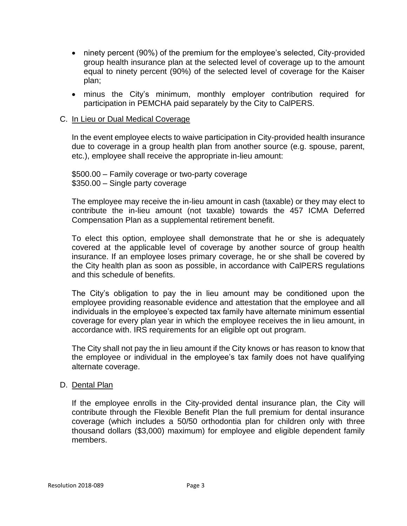- ninety percent (90%) of the premium for the employee's selected, City-provided group health insurance plan at the selected level of coverage up to the amount equal to ninety percent (90%) of the selected level of coverage for the Kaiser plan;
- minus the City's minimum, monthly employer contribution required for participation in PEMCHA paid separately by the City to CalPERS.

### C. In Lieu or Dual Medical Coverage

In the event employee elects to waive participation in City-provided health insurance due to coverage in a group health plan from another source (e.g. spouse, parent, etc.), employee shall receive the appropriate in-lieu amount:

\$500.00 – Family coverage or two-party coverage \$350.00 – Single party coverage

The employee may receive the in-lieu amount in cash (taxable) or they may elect to contribute the in-lieu amount (not taxable) towards the 457 ICMA Deferred Compensation Plan as a supplemental retirement benefit.

To elect this option, employee shall demonstrate that he or she is adequately covered at the applicable level of coverage by another source of group health insurance. If an employee loses primary coverage, he or she shall be covered by the City health plan as soon as possible, in accordance with CalPERS regulations and this schedule of benefits.

The City's obligation to pay the in lieu amount may be conditioned upon the employee providing reasonable evidence and attestation that the employee and all individuals in the employee's expected tax family have alternate minimum essential coverage for every plan year in which the employee receives the in lieu amount, in accordance with. IRS requirements for an eligible opt out program.

The City shall not pay the in lieu amount if the City knows or has reason to know that the employee or individual in the employee's tax family does not have qualifying alternate coverage.

#### D. Dental Plan

If the employee enrolls in the City-provided dental insurance plan, the City will contribute through the Flexible Benefit Plan the full premium for dental insurance coverage (which includes a 50/50 orthodontia plan for children only with three thousand dollars (\$3,000) maximum) for employee and eligible dependent family members.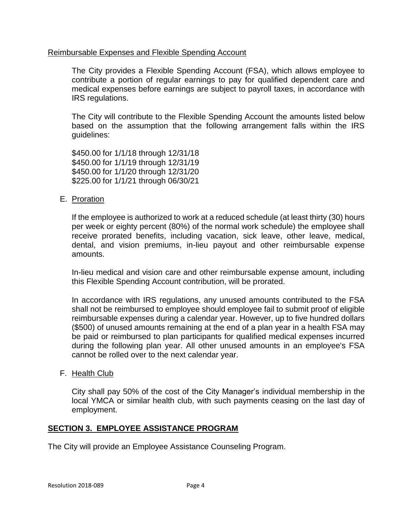### Reimbursable Expenses and Flexible Spending Account

The City provides a Flexible Spending Account (FSA), which allows employee to contribute a portion of regular earnings to pay for qualified dependent care and medical expenses before earnings are subject to payroll taxes, in accordance with IRS regulations.

The City will contribute to the Flexible Spending Account the amounts listed below based on the assumption that the following arrangement falls within the IRS guidelines:

\$450.00 for 1/1/18 through 12/31/18 \$450.00 for 1/1/19 through 12/31/19 \$450.00 for 1/1/20 through 12/31/20 \$225.00 for 1/1/21 through 06/30/21

### E. Proration

If the employee is authorized to work at a reduced schedule (at least thirty (30) hours per week or eighty percent (80%) of the normal work schedule) the employee shall receive prorated benefits, including vacation, sick leave, other leave, medical, dental, and vision premiums, in-lieu payout and other reimbursable expense amounts.

In-lieu medical and vision care and other reimbursable expense amount, including this Flexible Spending Account contribution, will be prorated.

In accordance with IRS regulations, any unused amounts contributed to the FSA shall not be reimbursed to employee should employee fail to submit proof of eligible reimbursable expenses during a calendar year. However, up to five hundred dollars (\$500) of unused amounts remaining at the end of a plan year in a health FSA may be paid or reimbursed to plan participants for qualified medical expenses incurred during the following plan year. All other unused amounts in an employee's FSA cannot be rolled over to the next calendar year.

#### F. Health Club

City shall pay 50% of the cost of the City Manager's individual membership in the local YMCA or similar health club, with such payments ceasing on the last day of employment.

#### **SECTION 3. EMPLOYEE ASSISTANCE PROGRAM**

The City will provide an Employee Assistance Counseling Program.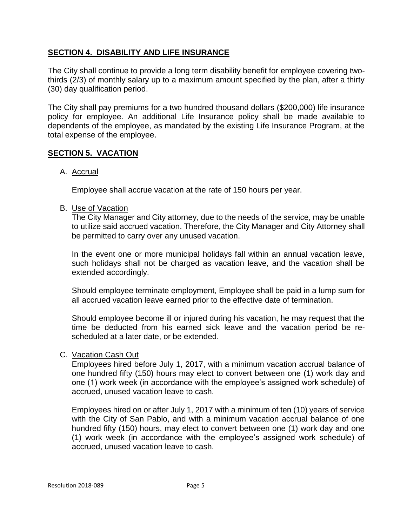## **SECTION 4. DISABILITY AND LIFE INSURANCE**

The City shall continue to provide a long term disability benefit for employee covering twothirds (2/3) of monthly salary up to a maximum amount specified by the plan, after a thirty (30) day qualification period.

The City shall pay premiums for a two hundred thousand dollars (\$200,000) life insurance policy for employee. An additional Life Insurance policy shall be made available to dependents of the employee, as mandated by the existing Life Insurance Program, at the total expense of the employee.

## **SECTION 5. VACATION**

## A. Accrual

Employee shall accrue vacation at the rate of 150 hours per year.

### B. Use of Vacation

The City Manager and City attorney, due to the needs of the service, may be unable to utilize said accrued vacation. Therefore, the City Manager and City Attorney shall be permitted to carry over any unused vacation.

In the event one or more municipal holidays fall within an annual vacation leave, such holidays shall not be charged as vacation leave, and the vacation shall be extended accordingly.

Should employee terminate employment, Employee shall be paid in a lump sum for all accrued vacation leave earned prior to the effective date of termination.

Should employee become ill or injured during his vacation, he may request that the time be deducted from his earned sick leave and the vacation period be rescheduled at a later date, or be extended.

#### C. Vacation Cash Out

Employees hired before July 1, 2017, with a minimum vacation accrual balance of one hundred fifty (150) hours may elect to convert between one (1) work day and one (1) work week (in accordance with the employee's assigned work schedule) of accrued, unused vacation leave to cash.

Employees hired on or after July 1, 2017 with a minimum of ten (10) years of service with the City of San Pablo, and with a minimum vacation accrual balance of one hundred fifty (150) hours, may elect to convert between one (1) work day and one (1) work week (in accordance with the employee's assigned work schedule) of accrued, unused vacation leave to cash.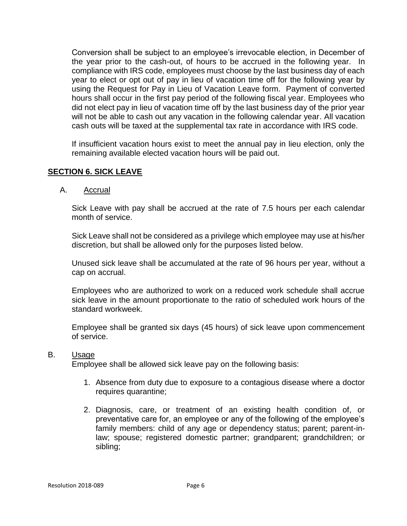Conversion shall be subject to an employee's irrevocable election, in December of the year prior to the cash-out, of hours to be accrued in the following year. In compliance with IRS code, employees must choose by the last business day of each year to elect or opt out of pay in lieu of vacation time off for the following year by using the Request for Pay in Lieu of Vacation Leave form. Payment of converted hours shall occur in the first pay period of the following fiscal year. Employees who did not elect pay in lieu of vacation time off by the last business day of the prior year will not be able to cash out any vacation in the following calendar year. All vacation cash outs will be taxed at the supplemental tax rate in accordance with IRS code.

If insufficient vacation hours exist to meet the annual pay in lieu election, only the remaining available elected vacation hours will be paid out.

# **SECTION 6. SICK LEAVE**

### A. Accrual

Sick Leave with pay shall be accrued at the rate of 7.5 hours per each calendar month of service.

Sick Leave shall not be considered as a privilege which employee may use at his/her discretion, but shall be allowed only for the purposes listed below.

Unused sick leave shall be accumulated at the rate of 96 hours per year, without a cap on accrual.

Employees who are authorized to work on a reduced work schedule shall accrue sick leave in the amount proportionate to the ratio of scheduled work hours of the standard workweek.

Employee shall be granted six days (45 hours) of sick leave upon commencement of service.

#### B. Usage

Employee shall be allowed sick leave pay on the following basis:

- 1. Absence from duty due to exposure to a contagious disease where a doctor requires quarantine;
- 2. Diagnosis, care, or treatment of an existing health condition of, or preventative care for, an employee or any of the following of the employee's family members: child of any age or dependency status; parent; parent-inlaw; spouse; registered domestic partner; grandparent; grandchildren; or sibling;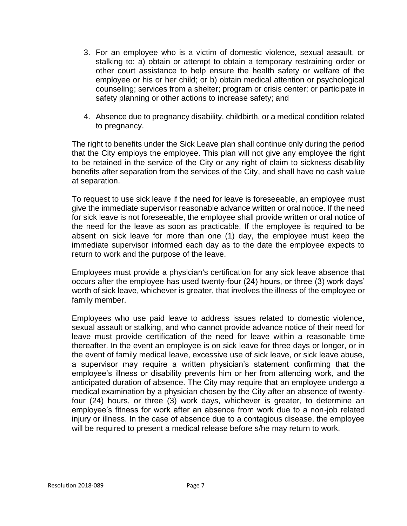- 3. For an employee who is a victim of domestic violence, sexual assault, or stalking to: a) obtain or attempt to obtain a temporary restraining order or other court assistance to help ensure the health safety or welfare of the employee or his or her child; or b) obtain medical attention or psychological counseling; services from a shelter; program or crisis center; or participate in safety planning or other actions to increase safety; and
- 4. Absence due to pregnancy disability, childbirth, or a medical condition related to pregnancy.

The right to benefits under the Sick Leave plan shall continue only during the period that the City employs the employee. This plan will not give any employee the right to be retained in the service of the City or any right of claim to sickness disability benefits after separation from the services of the City, and shall have no cash value at separation.

To request to use sick leave if the need for leave is foreseeable, an employee must give the immediate supervisor reasonable advance written or oral notice. If the need for sick leave is not foreseeable, the employee shall provide written or oral notice of the need for the leave as soon as practicable, If the employee is required to be absent on sick leave for more than one (1) day, the employee must keep the immediate supervisor informed each day as to the date the employee expects to return to work and the purpose of the leave.

Employees must provide a physician's certification for any sick leave absence that occurs after the employee has used twenty-four (24) hours, or three (3) work days' worth of sick leave, whichever is greater, that involves the illness of the employee or family member.

Employees who use paid leave to address issues related to domestic violence, sexual assault or stalking, and who cannot provide advance notice of their need for leave must provide certification of the need for leave within a reasonable time thereafter. In the event an employee is on sick leave for three days or longer, or in the event of family medical leave, excessive use of sick leave, or sick leave abuse, a supervisor may require a written physician's statement confirming that the employee's illness or disability prevents him or her from attending work, and the anticipated duration of absence. The City may require that an employee undergo a medical examination by a physician chosen by the City after an absence of twentyfour (24) hours, or three (3) work days, whichever is greater, to determine an employee's fitness for work after an absence from work due to a non-job related injury or illness. In the case of absence due to a contagious disease, the employee will be required to present a medical release before s/he may return to work.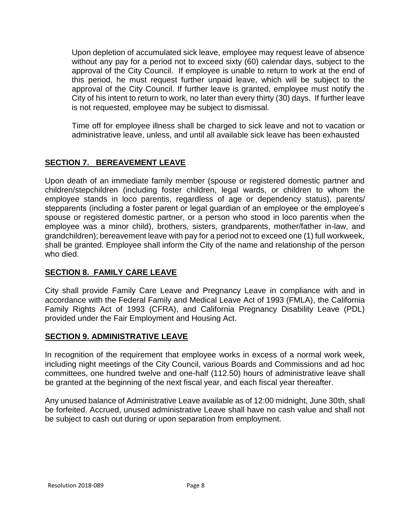Upon depletion of accumulated sick leave, employee may request leave of absence without any pay for a period not to exceed sixty (60) calendar days, subject to the approval of the City Council. If employee is unable to return to work at the end of this period, he must request further unpaid leave, which will be subject to the approval of the City Council. If further leave is granted, employee must notify the City of his intent to return to work, no later than every thirty (30) days. If further leave is not requested, employee may be subject to dismissal.

Time off for employee illness shall be charged to sick leave and not to vacation or administrative leave, unless, and until all available sick leave has been exhausted

# **SECTION 7. BEREAVEMENT LEAVE**

Upon death of an immediate family member (spouse or registered domestic partner and children/stepchildren (including foster children, legal wards, or children to whom the employee stands in loco parentis, regardless of age or dependency status), parents/ stepparents (including a foster parent or legal guardian of an employee or the employee's spouse or registered domestic partner, or a person who stood in loco parentis when the employee was a minor child), brothers, sisters, grandparents, mother/father in-law, and grandchildren); bereavement leave with pay for a period not to exceed one (1) full workweek, shall be granted. Employee shall inform the City of the name and relationship of the person who died.

# **SECTION 8. FAMILY CARE LEAVE**

City shall provide Family Care Leave and Pregnancy Leave in compliance with and in accordance with the Federal Family and Medical Leave Act of 1993 (FMLA), the California Family Rights Act of 1993 (CFRA), and California Pregnancy Disability Leave (PDL) provided under the Fair Employment and Housing Act.

# **SECTION 9. ADMINISTRATIVE LEAVE**

In recognition of the requirement that employee works in excess of a normal work week, including night meetings of the City Council, various Boards and Commissions and ad hoc committees, one hundred twelve and one-half (112.50) hours of administrative leave shall be granted at the beginning of the next fiscal year, and each fiscal year thereafter.

Any unused balance of Administrative Leave available as of 12:00 midnight, June 30th, shall be forfeited. Accrued, unused administrative Leave shall have no cash value and shall not be subject to cash out during or upon separation from employment.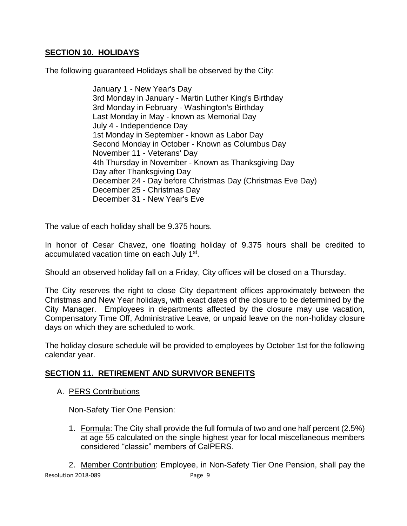# **SECTION 10. HOLIDAYS**

The following guaranteed Holidays shall be observed by the City:

January 1 - New Year's Day 3rd Monday in January - Martin Luther King's Birthday 3rd Monday in February - Washington's Birthday Last Monday in May - known as Memorial Day July 4 - Independence Day 1st Monday in September - known as Labor Day Second Monday in October - Known as Columbus Day November 11 - Veterans' Day 4th Thursday in November - Known as Thanksgiving Day Day after Thanksgiving Day December 24 - Day before Christmas Day (Christmas Eve Day) December 25 - Christmas Day December 31 - New Year's Eve

The value of each holiday shall be 9.375 hours.

In honor of Cesar Chavez, one floating holiday of 9.375 hours shall be credited to accumulated vacation time on each July 1<sup>st</sup>.

Should an observed holiday fall on a Friday, City offices will be closed on a Thursday.

The City reserves the right to close City department offices approximately between the Christmas and New Year holidays, with exact dates of the closure to be determined by the City Manager. Employees in departments affected by the closure may use vacation, Compensatory Time Off, Administrative Leave, or unpaid leave on the non-holiday closure days on which they are scheduled to work.

The holiday closure schedule will be provided to employees by October 1st for the following calendar year.

# **SECTION 11. RETIREMENT AND SURVIVOR BENEFITS**

A. PERS Contributions

Non-Safety Tier One Pension:

1. Formula: The City shall provide the full formula of two and one half percent (2.5%) at age 55 calculated on the single highest year for local miscellaneous members considered "classic" members of CalPERS.

Resolution 2018-089 Page 9 2. Member Contribution: Employee, in Non-Safety Tier One Pension, shall pay the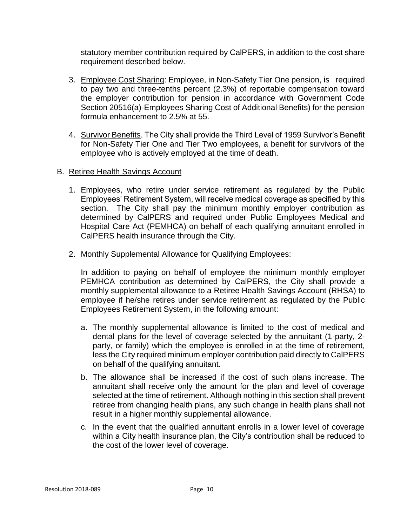statutory member contribution required by CalPERS, in addition to the cost share requirement described below.

- 3. Employee Cost Sharing: Employee, in Non-Safety Tier One pension, is required to pay two and three-tenths percent (2.3%) of reportable compensation toward the employer contribution for pension in accordance with Government Code Section 20516(a)-Employees Sharing Cost of Additional Benefits) for the pension formula enhancement to 2.5% at 55.
- 4. Survivor Benefits. The City shall provide the Third Level of 1959 Survivor's Benefit for Non-Safety Tier One and Tier Two employees, a benefit for survivors of the employee who is actively employed at the time of death.

## B. Retiree Health Savings Account

- 1. Employees, who retire under service retirement as regulated by the Public Employees' Retirement System, will receive medical coverage as specified by this section. The City shall pay the minimum monthly employer contribution as determined by CalPERS and required under Public Employees Medical and Hospital Care Act (PEMHCA) on behalf of each qualifying annuitant enrolled in CalPERS health insurance through the City.
- 2. Monthly Supplemental Allowance for Qualifying Employees:

In addition to paying on behalf of employee the minimum monthly employer PEMHCA contribution as determined by CalPERS, the City shall provide a monthly supplemental allowance to a Retiree Health Savings Account (RHSA) to employee if he/she retires under service retirement as regulated by the Public Employees Retirement System, in the following amount:

- a. The monthly supplemental allowance is limited to the cost of medical and dental plans for the level of coverage selected by the annuitant (1-party, 2 party, or family) which the employee is enrolled in at the time of retirement, less the City required minimum employer contribution paid directly to CalPERS on behalf of the qualifying annuitant.
- b. The allowance shall be increased if the cost of such plans increase. The annuitant shall receive only the amount for the plan and level of coverage selected at the time of retirement. Although nothing in this section shall prevent retiree from changing health plans, any such change in health plans shall not result in a higher monthly supplemental allowance.
- c. In the event that the qualified annuitant enrolls in a lower level of coverage within a City health insurance plan, the City's contribution shall be reduced to the cost of the lower level of coverage.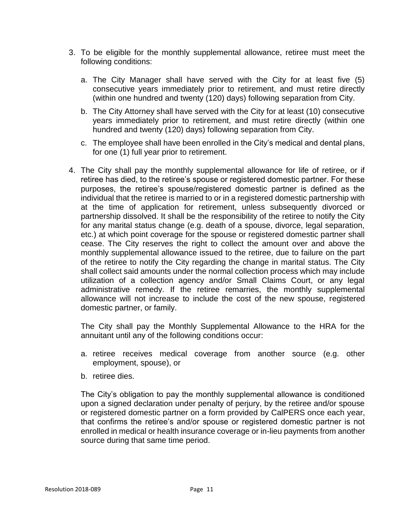- 3. To be eligible for the monthly supplemental allowance, retiree must meet the following conditions:
	- a. The City Manager shall have served with the City for at least five (5) consecutive years immediately prior to retirement, and must retire directly (within one hundred and twenty (120) days) following separation from City.
	- b. The City Attorney shall have served with the City for at least (10) consecutive years immediately prior to retirement, and must retire directly (within one hundred and twenty (120) days) following separation from City.
	- c. The employee shall have been enrolled in the City's medical and dental plans, for one (1) full year prior to retirement.
- 4. The City shall pay the monthly supplemental allowance for life of retiree, or if retiree has died, to the retiree's spouse or registered domestic partner. For these purposes, the retiree's spouse/registered domestic partner is defined as the individual that the retiree is married to or in a registered domestic partnership with at the time of application for retirement, unless subsequently divorced or partnership dissolved. It shall be the responsibility of the retiree to notify the City for any marital status change (e.g. death of a spouse, divorce, legal separation, etc.) at which point coverage for the spouse or registered domestic partner shall cease. The City reserves the right to collect the amount over and above the monthly supplemental allowance issued to the retiree, due to failure on the part of the retiree to notify the City regarding the change in marital status. The City shall collect said amounts under the normal collection process which may include utilization of a collection agency and/or Small Claims Court, or any legal administrative remedy. If the retiree remarries, the monthly supplemental allowance will not increase to include the cost of the new spouse, registered domestic partner, or family.

The City shall pay the Monthly Supplemental Allowance to the HRA for the annuitant until any of the following conditions occur:

- a. retiree receives medical coverage from another source (e.g. other employment, spouse), or
- b. retiree dies.

The City's obligation to pay the monthly supplemental allowance is conditioned upon a signed declaration under penalty of perjury, by the retiree and/or spouse or registered domestic partner on a form provided by CalPERS once each year, that confirms the retiree's and/or spouse or registered domestic partner is not enrolled in medical or health insurance coverage or in-lieu payments from another source during that same time period.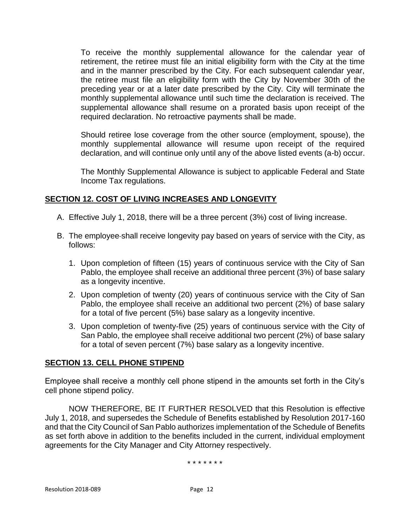To receive the monthly supplemental allowance for the calendar year of retirement, the retiree must file an initial eligibility form with the City at the time and in the manner prescribed by the City. For each subsequent calendar year, the retiree must file an eligibility form with the City by November 30th of the preceding year or at a later date prescribed by the City. City will terminate the monthly supplemental allowance until such time the declaration is received. The supplemental allowance shall resume on a prorated basis upon receipt of the required declaration. No retroactive payments shall be made.

Should retiree lose coverage from the other source (employment, spouse), the monthly supplemental allowance will resume upon receipt of the required declaration, and will continue only until any of the above listed events (a-b) occur.

The Monthly Supplemental Allowance is subject to applicable Federal and State Income Tax regulations.

# **SECTION 12. COST OF LIVING INCREASES AND LONGEVITY**

- A. Effective July 1, 2018, there will be a three percent (3%) cost of living increase.
- B. The employee shall receive longevity pay based on years of service with the City, as follows:
	- 1. Upon completion of fifteen (15) years of continuous service with the City of San Pablo, the employee shall receive an additional three percent (3%) of base salary as a longevity incentive.
	- 2. Upon completion of twenty (20) years of continuous service with the City of San Pablo, the employee shall receive an additional two percent (2%) of base salary for a total of five percent (5%) base salary as a longevity incentive.
	- 3. Upon completion of twenty-five (25) years of continuous service with the City of San Pablo, the employee shall receive additional two percent (2%) of base salary for a total of seven percent (7%) base salary as a longevity incentive.

# **SECTION 13. CELL PHONE STIPEND**

Employee shall receive a monthly cell phone stipend in the amounts set forth in the City's cell phone stipend policy.

NOW THEREFORE, BE IT FURTHER RESOLVED that this Resolution is effective July 1, 2018, and supersedes the Schedule of Benefits established by Resolution 2017-160 and that the City Council of San Pablo authorizes implementation of the Schedule of Benefits as set forth above in addition to the benefits included in the current, individual employment agreements for the City Manager and City Attorney respectively.

\* \* \* \* \* \* \*